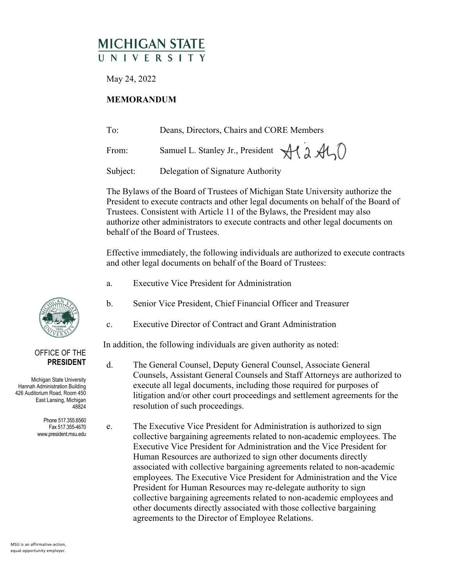## **MICHIGAN STATE** UNIVERSIT

May 24, 2022

## **MEMORANDUM**

| To:      | Deans, Directors, Chairs and CORE Members |
|----------|-------------------------------------------|
| From:    | Samuel L. Stanley Jr., President Al 2 AL  |
| Subject: | Delegation of Signature Authority         |

The Bylaws of the Board of Trustees of Michigan State University authorize the President to execute contracts and other legal documents on behalf of the Board of Trustees. Consistent with Article 11 of the Bylaws, the President may also authorize other administrators to execute contracts and other legal documents on behalf of the Board of Trustees.

Effective immediately, the following individuals are authorized to execute contracts and other legal documents on behalf of the Board of Trustees:

- a. Executive Vice President for Administration
- b. Senior Vice President, Chief Financial Officer and Treasurer
- c. Executive Director of Contract and Grant Administration

In addition, the following individuals are given authority as noted:

d. The General Counsel, Deputy General Counsel, Associate General Counsels, Assistant General Counsels and Staff Attorneys are authorized to execute all legal documents, including those required for purposes of litigation and/or other court proceedings and settlement agreements for the resolution of such proceedings.

e. The Executive Vice President for Administration is authorized to sign collective bargaining agreements related to non-academic employees. The Executive Vice President for Administration and the Vice President for Human Resources are authorized to sign other documents directly associated with collective bargaining agreements related to non-academic employees. The Executive Vice President for Administration and the Vice President for Human Resources may re-delegate authority to sign collective bargaining agreements related to non-academic employees and other documents directly associated with those collective bargaining agreements to the Director of Employee Relations.



## OFFICE OF THE **PRESIDENT**

Michigan State University Hannah Administration Building 426 Auditorium Road, Room 450 East Lansing, Michigan 48824

> Phone 517.355.6560 Fax 517.355-4670 www.president.msu.edu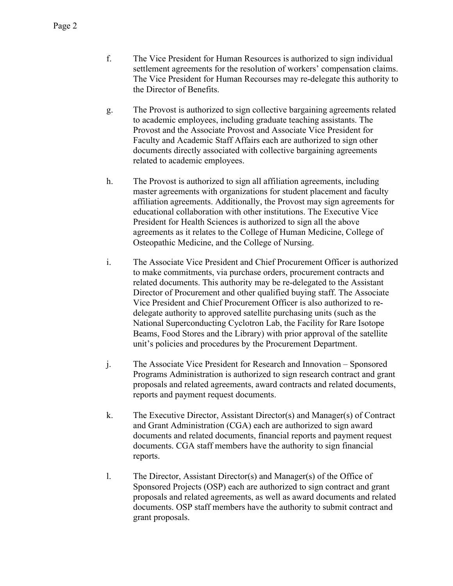- f. The Vice President for Human Resources is authorized to sign individual settlement agreements for the resolution of workers' compensation claims. The Vice President for Human Recourses may re-delegate this authority to the Director of Benefits.
- g. The Provost is authorized to sign collective bargaining agreements related to academic employees, including graduate teaching assistants. The Provost and the Associate Provost and Associate Vice President for Faculty and Academic Staff Affairs each are authorized to sign other documents directly associated with collective bargaining agreements related to academic employees.
- h. The Provost is authorized to sign all affiliation agreements, including master agreements with organizations for student placement and faculty affiliation agreements. Additionally, the Provost may sign agreements for educational collaboration with other institutions. The Executive Vice President for Health Sciences is authorized to sign all the above agreements as it relates to the College of Human Medicine, College of Osteopathic Medicine, and the College of Nursing.
- i. The Associate Vice President and Chief Procurement Officer is authorized to make commitments, via purchase orders, procurement contracts and related documents. This authority may be re-delegated to the Assistant Director of Procurement and other qualified buying staff. The Associate Vice President and Chief Procurement Officer is also authorized to redelegate authority to approved satellite purchasing units (such as the National Superconducting Cyclotron Lab, the Facility for Rare Isotope Beams, Food Stores and the Library) with prior approval of the satellite unit's policies and procedures by the Procurement Department.
- j. The Associate Vice President for Research and Innovation Sponsored Programs Administration is authorized to sign research contract and grant proposals and related agreements, award contracts and related documents, reports and payment request documents.
- k. The Executive Director, Assistant Director(s) and Manager(s) of Contract and Grant Administration (CGA) each are authorized to sign award documents and related documents, financial reports and payment request documents. CGA staff members have the authority to sign financial reports.
- l. The Director, Assistant Director(s) and Manager(s) of the Office of Sponsored Projects (OSP) each are authorized to sign contract and grant proposals and related agreements, as well as award documents and related documents. OSP staff members have the authority to submit contract and grant proposals.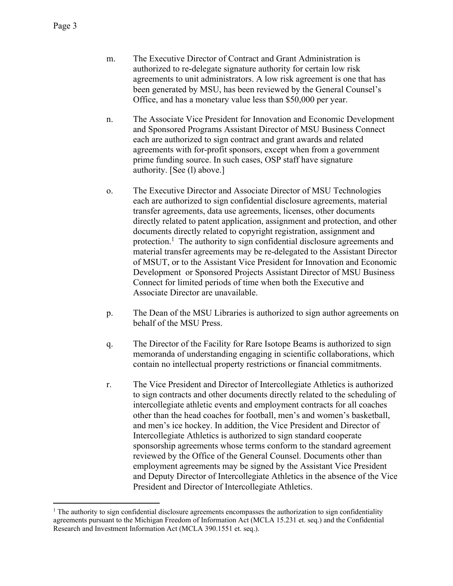- m. The Executive Director of Contract and Grant Administration is authorized to re-delegate signature authority for certain low risk agreements to unit administrators. A low risk agreement is one that has been generated by MSU, has been reviewed by the General Counsel's Office, and has a monetary value less than \$50,000 per year.
- n. The Associate Vice President for Innovation and Economic Development and Sponsored Programs Assistant Director of MSU Business Connect each are authorized to sign contract and grant awards and related agreements with for-profit sponsors, except when from a government prime funding source. In such cases, OSP staff have signature authority. [See (l) above.]
- o. The Executive Director and Associate Director of MSU Technologies each are authorized to sign confidential disclosure agreements, material transfer agreements, data use agreements, licenses, other documents directly related to patent application, assignment and protection, and other documents directly related to copyright registration, assignment and protection.<sup>1</sup> The authority to sign confidential disclosure agreements and material transfer agreements may be re-delegated to the Assistant Director of MSUT, or to the Assistant Vice President for Innovation and Economic Development or Sponsored Projects Assistant Director of MSU Business Connect for limited periods of time when both the Executive and Associate Director are unavailable.
- p. The Dean of the MSU Libraries is authorized to sign author agreements on behalf of the MSU Press.
- q. The Director of the Facility for Rare Isotope Beams is authorized to sign memoranda of understanding engaging in scientific collaborations, which contain no intellectual property restrictions or financial commitments.
- r. The Vice President and Director of Intercollegiate Athletics is authorized to sign contracts and other documents directly related to the scheduling of intercollegiate athletic events and employment contracts for all coaches other than the head coaches for football, men's and women's basketball, and men's ice hockey. In addition, the Vice President and Director of Intercollegiate Athletics is authorized to sign standard cooperate sponsorship agreements whose terms conform to the standard agreement reviewed by the Office of the General Counsel. Documents other than employment agreements may be signed by the Assistant Vice President and Deputy Director of Intercollegiate Athletics in the absence of the Vice President and Director of Intercollegiate Athletics.

<sup>&</sup>lt;sup>1</sup> The authority to sign confidential disclosure agreements encompasses the authorization to sign confidentiality agreements pursuant to the Michigan Freedom of Information Act (MCLA 15.231 et. seq.) and the Confidential Research and Investment Information Act (MCLA 390.1551 et. seq.).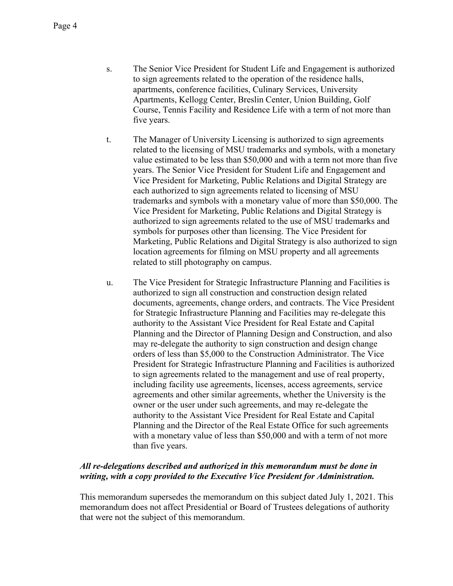- s. The Senior Vice President for Student Life and Engagement is authorized to sign agreements related to the operation of the residence halls, apartments, conference facilities, Culinary Services, University Apartments, Kellogg Center, Breslin Center, Union Building, Golf Course, Tennis Facility and Residence Life with a term of not more than five years.
- t. The Manager of University Licensing is authorized to sign agreements related to the licensing of MSU trademarks and symbols, with a monetary value estimated to be less than \$50,000 and with a term not more than five years. The Senior Vice President for Student Life and Engagement and Vice President for Marketing, Public Relations and Digital Strategy are each authorized to sign agreements related to licensing of MSU trademarks and symbols with a monetary value of more than \$50,000. The Vice President for Marketing, Public Relations and Digital Strategy is authorized to sign agreements related to the use of MSU trademarks and symbols for purposes other than licensing. The Vice President for Marketing, Public Relations and Digital Strategy is also authorized to sign location agreements for filming on MSU property and all agreements related to still photography on campus.
- u. The Vice President for Strategic Infrastructure Planning and Facilities is authorized to sign all construction and construction design related documents, agreements, change orders, and contracts. The Vice President for Strategic Infrastructure Planning and Facilities may re-delegate this authority to the Assistant Vice President for Real Estate and Capital Planning and the Director of Planning Design and Construction, and also may re-delegate the authority to sign construction and design change orders of less than \$5,000 to the Construction Administrator. The Vice President for Strategic Infrastructure Planning and Facilities is authorized to sign agreements related to the management and use of real property, including facility use agreements, licenses, access agreements, service agreements and other similar agreements, whether the University is the owner or the user under such agreements, and may re-delegate the authority to the Assistant Vice President for Real Estate and Capital Planning and the Director of the Real Estate Office for such agreements with a monetary value of less than \$50,000 and with a term of not more than five years.

## *All re-delegations described and authorized in this memorandum must be done in writing, with a copy provided to the Executive Vice President for Administration.*

This memorandum supersedes the memorandum on this subject dated July 1, 2021. This memorandum does not affect Presidential or Board of Trustees delegations of authority that were not the subject of this memorandum.